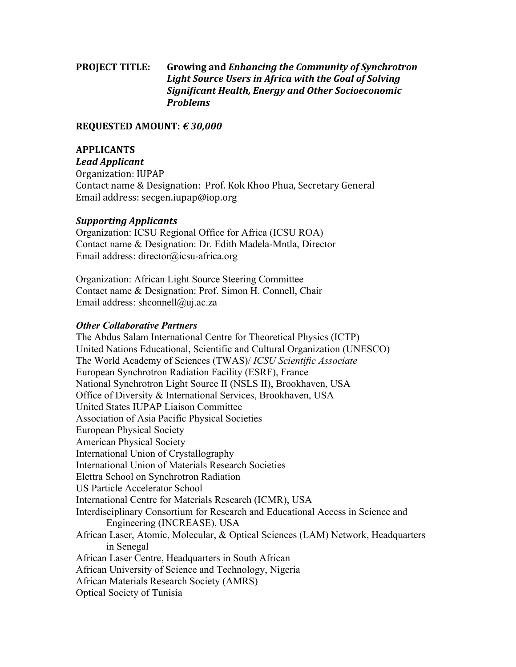# **PROJECT TITLE:** Growing and *Enhancing the Community of Synchrotron* Light Source Users in Africa with the Goal of Solving *Significant Health, Energy and Other Socioeconomic Problems*

### **REQUESTED AMOUNT: € 30,000**

### **APPLICANTS**

*Lead Applicant* Organization: IUPAP Contact name & Designation: Prof. Kok Khoo Phua, Secretary General Email address: secgen.iupap@iop.org

### *Supporting Applicants*

Organization: ICSU Regional Office for Africa (ICSU ROA) Contact name & Designation: Dr. Edith Madela-Mntla, Director Email address: director@icsu-africa.org

Organization: African Light Source Steering Committee Contact name & Designation: Prof. Simon H. Connell, Chair Email address: shconnell@uj.ac.za

## *Other Collaborative Partners*

The Abdus Salam International Centre for Theoretical Physics (ICTP) United Nations Educational, Scientific and Cultural Organization (UNESCO) The World Academy of Sciences (TWAS)/ *ICSU Scientific Associate* European Synchrotron Radiation Facility (ESRF), France National Synchrotron Light Source II (NSLS II), Brookhaven, USA Office of Diversity & International Services, Brookhaven, USA United States IUPAP Liaison Committee Association of Asia Pacific Physical Societies European Physical Society American Physical Society International Union of Crystallography International Union of Materials Research Societies Elettra School on Synchrotron Radiation US Particle Accelerator School International Centre for Materials Research (ICMR), USA Interdisciplinary Consortium for Research and Educational Access in Science and Engineering (INCREASE), USA African Laser, Atomic, Molecular, & Optical Sciences (LAM) Network, Headquarters in Senegal African Laser Centre, Headquarters in South African African University of Science and Technology, Nigeria African Materials Research Society (AMRS) Optical Society of Tunisia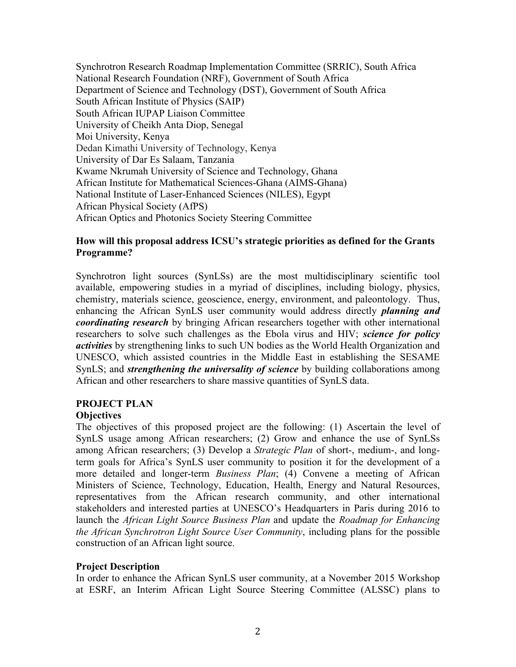Synchrotron Research Roadmap Implementation Committee (SRRIC), South Africa National Research Foundation (NRF), Government of South Africa Department of Science and Technology (DST), Government of South Africa South African Institute of Physics (SAIP) South African IUPAP Liaison Committee University of Cheikh Anta Diop, Senegal Moi University, Kenya Dedan Kimathi University of Technology, Kenya University of Dar Es Salaam, Tanzania Kwame Nkrumah University of Science and Technology, Ghana African Institute for Mathematical Sciences-Ghana (AIMS-Ghana) National Institute of Laser-Enhanced Sciences (NILES), Egypt African Physical Society (AfPS) African Optics and Photonics Society Steering Committee

### **How will this proposal address ICSU's strategic priorities as defined for the Grants Programme?**

Synchrotron light sources (SynLSs) are the most multidisciplinary scientific tool available, empowering studies in a myriad of disciplines, including biology, physics, chemistry, materials science, geoscience, energy, environment, and paleontology. Thus, enhancing the African SynLS user community would address directly *planning and coordinating research* by bringing African researchers together with other international researchers to solve such challenges as the Ebola virus and HIV; *science for policy activities* by strengthening links to such UN bodies as the World Health Organization and UNESCO, which assisted countries in the Middle East in establishing the SESAME SynLS; and *strengthening the universality of science* by building collaborations among African and other researchers to share massive quantities of SynLS data.

## **PROJECT PLAN**

## **Objectives**

The objectives of this proposed project are the following: (1) Ascertain the level of SynLS usage among African researchers; (2) Grow and enhance the use of SynLSs among African researchers; (3) Develop a *Strategic Plan* of short-, medium-, and longterm goals for Africa's SynLS user community to position it for the development of a more detailed and longer-term *Business Plan*; (4) Convene a meeting of African Ministers of Science, Technology, Education, Health, Energy and Natural Resources, representatives from the African research community, and other international stakeholders and interested parties at UNESCO's Headquarters in Paris during 2016 to launch the *African Light Source Business Plan* and update the *Roadmap for Enhancing the African Synchrotron Light Source User Community*, including plans for the possible construction of an African light source.

## **Project Description**

In order to enhance the African SynLS user community, at a November 2015 Workshop at ESRF, an Interim African Light Source Steering Committee (ALSSC) plans to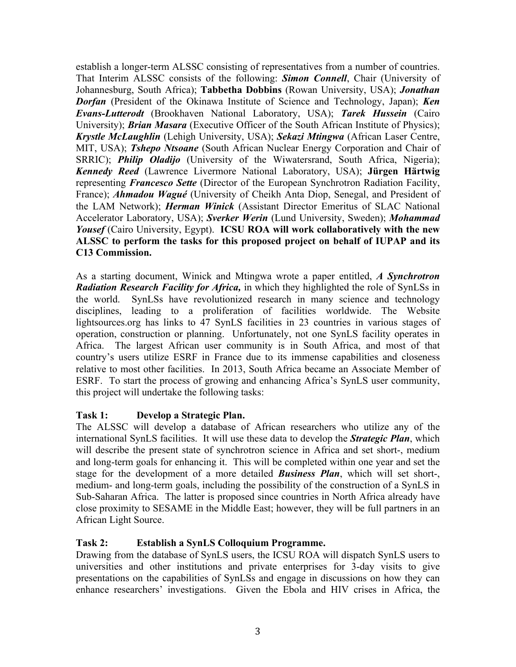establish a longer-term ALSSC consisting of representatives from a number of countries. That Interim ALSSC consists of the following: *Simon Connell*, Chair (University of Johannesburg, South Africa); **Tabbetha Dobbins** (Rowan University, USA); *Jonathan Dorfan* (President of the Okinawa Institute of Science and Technology, Japan); *Ken Evans-Lutterodt* (Brookhaven National Laboratory, USA); *Tarek Hussein* (Cairo University); *Brian Masara* (Executive Officer of the South African Institute of Physics); *Krystle McLaughlin* (Lehigh University, USA); *Sekazi Mtingwa* (African Laser Centre, MIT, USA); *Tshepo Ntsoane* (South African Nuclear Energy Corporation and Chair of SRRIC); *Philip Oladijo* (University of the Wiwatersrand, South Africa, Nigeria); *Kennedy Reed* (Lawrence Livermore National Laboratory, USA); **Jürgen Härtwig** representing *Francesco Sette* (Director of the European Synchrotron Radiation Facility, France); *Ahmadou Wagué* (University of Cheikh Anta Diop, Senegal, and President of the LAM Network); *Herman Winick* (Assistant Director Emeritus of SLAC National Accelerator Laboratory, USA); *Sverker Werin* (Lund University, Sweden); *Mohammad Yousef* (Cairo University, Egypt). **ICSU ROA will work collaboratively with the new ALSSC to perform the tasks for this proposed project on behalf of IUPAP and its C13 Commission.**

As a starting document, Winick and Mtingwa wrote a paper entitled, *A Synchrotron Radiation Research Facility for Africa,* in which they highlighted the role of SynLSs in the world. SynLSs have revolutionized research in many science and technology disciplines, leading to a proliferation of facilities worldwide. The Website lightsources.org has links to 47 SynLS facilities in 23 countries in various stages of operation, construction or planning.Unfortunately, not one SynLS facility operates in Africa. The largest African user community is in South Africa, and most of that country's users utilize ESRF in France due to its immense capabilities and closeness relative to most other facilities. In 2013, South Africa became an Associate Member of ESRF. To start the process of growing and enhancing Africa's SynLS user community, this project will undertake the following tasks:

## **Task 1: Develop a Strategic Plan.**

The ALSSC will develop a database of African researchers who utilize any of the international SynLS facilities. It will use these data to develop the *Strategic Plan*, which will describe the present state of synchrotron science in Africa and set short-, medium and long-term goals for enhancing it. This will be completed within one year and set the stage for the development of a more detailed *Business Plan*, which will set short-, medium- and long-term goals, including the possibility of the construction of a SynLS in Sub-Saharan Africa. The latter is proposed since countries in North Africa already have close proximity to SESAME in the Middle East; however, they will be full partners in an African Light Source.

### **Task 2: Establish a SynLS Colloquium Programme.**

Drawing from the database of SynLS users, the ICSU ROA will dispatch SynLS users to universities and other institutions and private enterprises for 3-day visits to give presentations on the capabilities of SynLSs and engage in discussions on how they can enhance researchers' investigations. Given the Ebola and HIV crises in Africa, the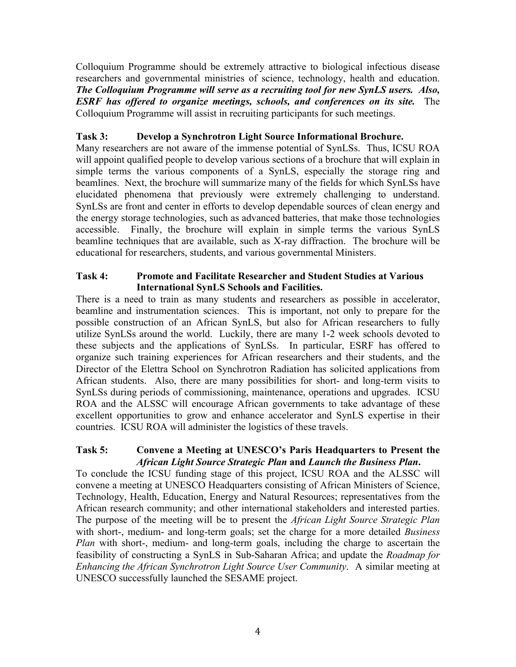Colloquium Programme should be extremely attractive to biological infectious disease researchers and governmental ministries of science, technology, health and education. *The Colloquium Programme will serve as a recruiting tool for new SynLS users. Also, ESRF has offered to organize meetings, schools, and conferences on its site.* The Colloquium Programme will assist in recruiting participants for such meetings.

# **Task 3: Develop a Synchrotron Light Source Informational Brochure.**

Many researchers are not aware of the immense potential of SynLSs. Thus, ICSU ROA will appoint qualified people to develop various sections of a brochure that will explain in simple terms the various components of a SynLS, especially the storage ring and beamlines. Next, the brochure will summarize many of the fields for which SynLSs have elucidated phenomena that previously were extremely challenging to understand. SynLSs are front and center in efforts to develop dependable sources of clean energy and the energy storage technologies, such as advanced batteries, that make those technologies accessible. Finally, the brochure will explain in simple terms the various SynLS beamline techniques that are available, such as X-ray diffraction. The brochure will be educational for researchers, students, and various governmental Ministers.

### **Task 4: Promote and Facilitate Researcher and Student Studies at Various International SynLS Schools and Facilities.**

There is a need to train as many students and researchers as possible in accelerator, beamline and instrumentation sciences. This is important, not only to prepare for the possible construction of an African SynLS, but also for African researchers to fully utilize SynLSs around the world. Luckily, there are many 1-2 week schools devoted to these subjects and the applications of SynLSs. In particular, ESRF has offered to organize such training experiences for African researchers and their students, and the Director of the Elettra School on Synchrotron Radiation has solicited applications from African students. Also, there are many possibilities for short- and long-term visits to SynLSs during periods of commissioning, maintenance, operations and upgrades. ICSU ROA and the ALSSC will encourage African governments to take advantage of these excellent opportunities to grow and enhance accelerator and SynLS expertise in their countries. ICSU ROA will administer the logistics of these travels.

### **Task 5: Convene a Meeting at UNESCO's Paris Headquarters to Present the**  *African Light Source Strategic Plan* **and** *Launch the Business Plan***.**

To conclude the ICSU funding stage of this project, ICSU ROA and the ALSSC will convene a meeting at UNESCO Headquarters consisting of African Ministers of Science, Technology, Health, Education, Energy and Natural Resources; representatives from the African research community; and other international stakeholders and interested parties. The purpose of the meeting will be to present the *African Light Source Strategic Plan* with short-, medium- and long-term goals; set the charge for a more detailed *Business Plan* with short-, medium- and long-term goals, including the charge to ascertain the feasibility of constructing a SynLS in Sub-Saharan Africa; and update the *Roadmap for Enhancing the African Synchrotron Light Source User Community*. A similar meeting at UNESCO successfully launched the SESAME project.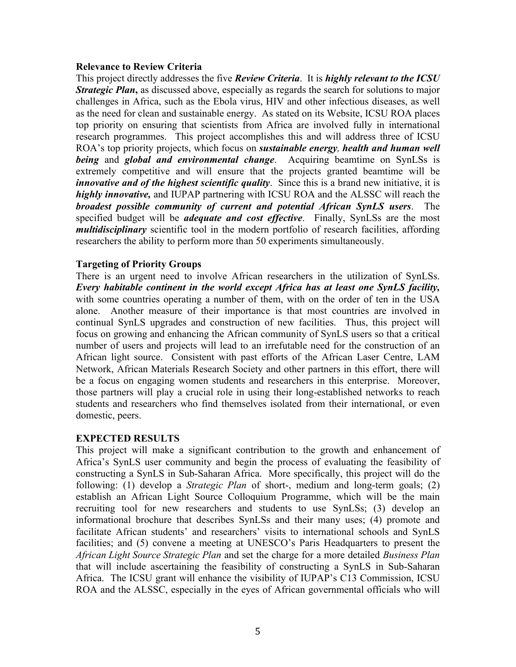#### **Relevance to Review Criteria**

This project directly addresses the five *Review Criteria*. It is *highly relevant to the ICSU Strategic Plan*, as discussed above, especially as regards the search for solutions to major challenges in Africa, such as the Ebola virus, HIV and other infectious diseases, as well as the need for clean and sustainable energy. As stated on its Website, ICSU ROA places top priority on ensuring that scientists from Africa are involved fully in international research programmes. This project accomplishes this and will address three of ICSU ROA's top priority projects, which focus on *sustainable energy, health and human well being* and *global and environmental change*. Acquiring beamtime on SynLSs is extremely competitive and will ensure that the projects granted beamtime will be *innovative and of the highest scientific quality*. Since this is a brand new initiative, it is *highly innovative,* and IUPAP partnering with ICSU ROA and the ALSSC will reach the *broadest possible community of current and potential African SynLS users*. The specified budget will be *adequate and cost effective*. Finally, SynLSs are the most *multidisciplinary* scientific tool in the modern portfolio of research facilities, affording researchers the ability to perform more than 50 experiments simultaneously.

### **Targeting of Priority Groups**

There is an urgent need to involve African researchers in the utilization of SynLSs. *Every habitable continent in the world except Africa has at least one SynLS facility,* with some countries operating a number of them, with on the order of ten in the USA alone. Another measure of their importance is that most countries are involved in continual SynLS upgrades and construction of new facilities. Thus, this project will focus on growing and enhancing the African community of SynLS users so that a critical number of users and projects will lead to an irrefutable need for the construction of an African light source. Consistent with past efforts of the African Laser Centre, LAM Network, African Materials Research Society and other partners in this effort, there will be a focus on engaging women students and researchers in this enterprise. Moreover, those partners will play a crucial role in using their long-established networks to reach students and researchers who find themselves isolated from their international, or even domestic, peers.

### **EXPECTED RESULTS**

This project will make a significant contribution to the growth and enhancement of Africa's SynLS user community and begin the process of evaluating the feasibility of constructing a SynLS in Sub-Saharan Africa. More specifically, this project will do the following: (1) develop a *Strategic Plan* of short-, medium and long-term goals; (2) establish an African Light Source Colloquium Programme, which will be the main recruiting tool for new researchers and students to use SynLSs; (3) develop an informational brochure that describes SynLSs and their many uses; (4) promote and facilitate African students' and researchers' visits to international schools and SynLS facilities; and (5) convene a meeting at UNESCO's Paris Headquarters to present the *African Light Source Strategic Plan* and set the charge for a more detailed *Business Plan* that will include ascertaining the feasibility of constructing a SynLS in Sub-Saharan Africa. The ICSU grant will enhance the visibility of IUPAP's C13 Commission, ICSU ROA and the ALSSC, especially in the eyes of African governmental officials who will